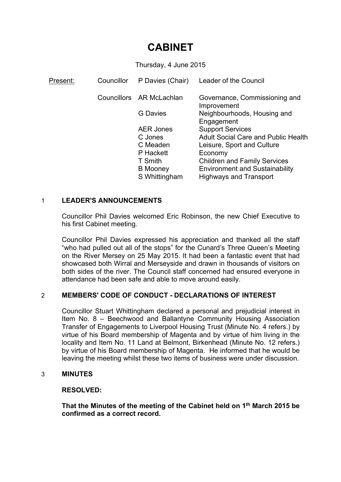# **CABINET**

Thursday, 4 June 2015

| Present: | Councillor | P Davies (Chair)         | Leader of the Council                        |
|----------|------------|--------------------------|----------------------------------------------|
|          |            | Councillors AR McLachlan | Governance, Commissioning and<br>Improvement |
|          |            | <b>G</b> Davies          | Neighbourhoods, Housing and<br>Engagement    |
|          |            | <b>AER Jones</b>         | <b>Support Services</b>                      |
|          |            | C Jones                  | <b>Adult Social Care and Public Health</b>   |
|          |            | C Meaden                 | Leisure, Sport and Culture                   |
|          |            | P Hackett                | Economy                                      |
|          |            | T Smith                  | <b>Children and Family Services</b>          |
|          |            | <b>B</b> Mooney          | <b>Environment and Sustainability</b>        |
|          |            | S Whittingham            | <b>Highways and Transport</b>                |

## 1 **LEADER'S ANNOUNCEMENTS**

Councillor Phil Davies welcomed Eric Robinson, the new Chief Executive to his first Cabinet meeting.

Councillor Phil Davies expressed his appreciation and thanked all the staff "who had pulled out all of the stops" for the Cunard's Three Queen's Meeting on the River Mersey on 25 May 2015. It had been a fantastic event that had showcased both Wirral and Merseyside and drawn in thousands of visitors on both sides of the river. The Council staff concerned had ensured everyone in attendance had been safe and able to move around easily.

## 2 **MEMBERS' CODE OF CONDUCT - DECLARATIONS OF INTEREST**

Councillor Stuart Whittingham declared a personal and prejudicial interest in Item No. 8 – Beechwood and Ballantyne Community Housing Association Transfer of Engagements to Liverpool Housing Trust (Minute No. 4 refers.) by virtue of his Board membership of Magenta and by virtue of him living in the locality and Item No. 11 Land at Belmont, Birkenhead (Minute No. 12 refers.) by virtue of his Board membership of Magenta. He informed that he would be leaving the meeting whilst these two items of business were under discussion.

## 3 **MINUTES**

## **RESOLVED:**

**That the Minutes of the meeting of the Cabinet held on 1 th March 2015 be confirmed as a correct record.**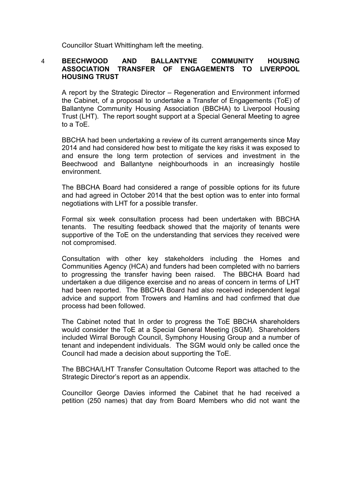Councillor Stuart Whittingham left the meeting.

#### 4 **BEECHWOOD AND BALLANTYNE COMMUNITY HOUSING ASSOCIATION TRANSFER OF ENGAGEMENTS TO LIVERPOOL HOUSING TRUST**

A report by the Strategic Director – Regeneration and Environment informed the Cabinet, of a proposal to undertake a Transfer of Engagements (ToE) of Ballantyne Community Housing Association (BBCHA) to Liverpool Housing Trust (LHT). The report sought support at a Special General Meeting to agree to a ToE.

BBCHA had been undertaking a review of its current arrangements since May 2014 and had considered how best to mitigate the key risks it was exposed to and ensure the long term protection of services and investment in the Beechwood and Ballantyne neighbourhoods in an increasingly hostile environment.

The BBCHA Board had considered a range of possible options for its future and had agreed in October 2014 that the best option was to enter into formal negotiations with LHT for a possible transfer.

Formal six week consultation process had been undertaken with BBCHA tenants. The resulting feedback showed that the majority of tenants were supportive of the ToE on the understanding that services they received were not compromised.

Consultation with other key stakeholders including the Homes and Communities Agency (HCA) and funders had been completed with no barriers to progressing the transfer having been raised. The BBCHA Board had undertaken a due diligence exercise and no areas of concern in terms of LHT had been reported. The BBCHA Board had also received independent legal advice and support from Trowers and Hamlins and had confirmed that due process had been followed.

The Cabinet noted that In order to progress the ToE BBCHA shareholders would consider the ToE at a Special General Meeting (SGM). Shareholders included Wirral Borough Council, Symphony Housing Group and a number of tenant and independent individuals. The SGM would only be called once the Council had made a decision about supporting the ToE.

The BBCHA/LHT Transfer Consultation Outcome Report was attached to the Strategic Director's report as an appendix.

Councillor George Davies informed the Cabinet that he had received a petition (250 names) that day from Board Members who did not want the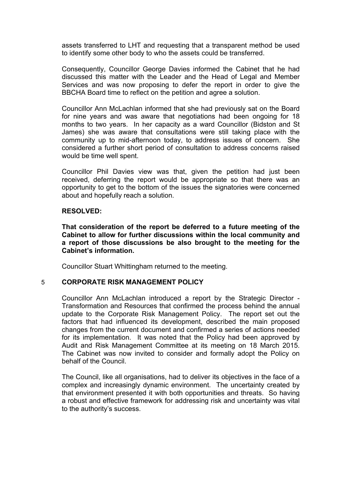assets transferred to LHT and requesting that a transparent method be used to identify some other body to who the assets could be transferred.

Consequently, Councillor George Davies informed the Cabinet that he had discussed this matter with the Leader and the Head of Legal and Member Services and was now proposing to defer the report in order to give the BBCHA Board time to reflect on the petition and agree a solution.

Councillor Ann McLachlan informed that she had previously sat on the Board for nine years and was aware that negotiations had been ongoing for 18 months to two years. In her capacity as a ward Councillor (Bidston and St James) she was aware that consultations were still taking place with the community up to mid-afternoon today, to address issues of concern. She considered a further short period of consultation to address concerns raised would be time well spent.

Councillor Phil Davies view was that, given the petition had just been received, deferring the report would be appropriate so that there was an opportunity to get to the bottom of the issues the signatories were concerned about and hopefully reach a solution.

#### **RESOLVED:**

**That consideration of the report be deferred to a future meeting of the Cabinet to allow for further discussions within the local community and a report of those discussions be also brought to the meeting for the Cabinet's information.**

Councillor Stuart Whittingham returned to the meeting.

## 5 **CORPORATE RISK MANAGEMENT POLICY**

Councillor Ann McLachlan introduced a report by the Strategic Director - Transformation and Resources that confirmed the process behind the annual update to the Corporate Risk Management Policy. The report set out the factors that had influenced its development, described the main proposed changes from the current document and confirmed a series of actions needed for its implementation. It was noted that the Policy had been approved by Audit and Risk Management Committee at its meeting on 18 March 2015. The Cabinet was now invited to consider and formally adopt the Policy on behalf of the Council.

The Council, like all organisations, had to deliver its objectives in the face of a complex and increasingly dynamic environment. The uncertainty created by that environment presented it with both opportunities and threats. So having a robust and effective framework for addressing risk and uncertainty was vital to the authority's success.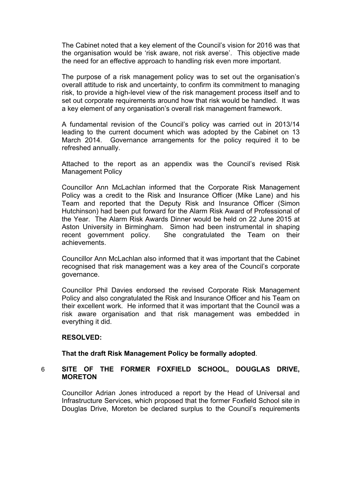The Cabinet noted that a key element of the Council's vision for 2016 was that the organisation would be 'risk aware, not risk averse'. This objective made the need for an effective approach to handling risk even more important.

The purpose of a risk management policy was to set out the organisation's overall attitude to risk and uncertainty, to confirm its commitment to managing risk, to provide a high-level view of the risk management process itself and to set out corporate requirements around how that risk would be handled. It was a key element of any organisation's overall risk management framework.

A fundamental revision of the Council's policy was carried out in 2013/14 leading to the current document which was adopted by the Cabinet on 13 March 2014. Governance arrangements for the policy required it to be refreshed annually.

Attached to the report as an appendix was the Council's revised Risk Management Policy

Councillor Ann McLachlan informed that the Corporate Risk Management Policy was a credit to the Risk and Insurance Officer (Mike Lane) and his Team and reported that the Deputy Risk and Insurance Officer (Simon Hutchinson) had been put forward for the Alarm Risk Award of Professional of the Year. The Alarm Risk Awards Dinner would be held on 22 June 2015 at Aston University in Birmingham. Simon had been instrumental in shaping recent government policy. She congratulated the Team on their achievements.

Councillor Ann McLachlan also informed that it was important that the Cabinet recognised that risk management was a key area of the Council's corporate governance.

Councillor Phil Davies endorsed the revised Corporate Risk Management Policy and also congratulated the Risk and Insurance Officer and his Team on their excellent work. He informed that it was important that the Council was a risk aware organisation and that risk management was embedded in everything it did.

## **RESOLVED:**

## **That the draft Risk Management Policy be formally adopted**.

## 6 **SITE OF THE FORMER FOXFIELD SCHOOL, DOUGLAS DRIVE, MORETON**

Councillor Adrian Jones introduced a report by the Head of Universal and Infrastructure Services, which proposed that the former Foxfield School site in Douglas Drive, Moreton be declared surplus to the Council's requirements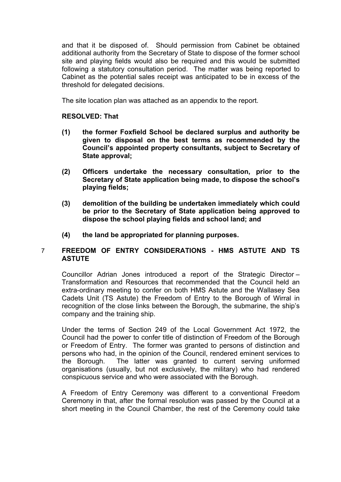and that it be disposed of. Should permission from Cabinet be obtained additional authority from the Secretary of State to dispose of the former school site and playing fields would also be required and this would be submitted following a statutory consultation period. The matter was being reported to Cabinet as the potential sales receipt was anticipated to be in excess of the threshold for delegated decisions.

The site location plan was attached as an appendix to the report.

## **RESOLVED: That**

- **(1) the former Foxfield School be declared surplus and authority be given to disposal on the best terms as recommended by the Council's appointed property consultants, subject to Secretary of State approval;**
- **(2) Officers undertake the necessary consultation, prior to the Secretary of State application being made, to dispose the school's playing fields;**
- **(3) demolition of the building be undertaken immediately which could be prior to the Secretary of State application being approved to dispose the school playing fields and school land; and**
- **(4) the land be appropriated for planning purposes.**

## 7 **FREEDOM OF ENTRY CONSIDERATIONS - HMS ASTUTE AND TS ASTUTE**

Councillor Adrian Jones introduced a report of the Strategic Director – Transformation and Resources that recommended that the Council held an extra-ordinary meeting to confer on both HMS Astute and the Wallasey Sea Cadets Unit (TS Astute) the Freedom of Entry to the Borough of Wirral in recognition of the close links between the Borough, the submarine, the ship's company and the training ship.

Under the terms of Section 249 of the Local Government Act 1972, the Council had the power to confer title of distinction of Freedom of the Borough or Freedom of Entry. The former was granted to persons of distinction and persons who had, in the opinion of the Council, rendered eminent services to the Borough. The latter was granted to current serving uniformed organisations (usually, but not exclusively, the military) who had rendered conspicuous service and who were associated with the Borough.

A Freedom of Entry Ceremony was different to a conventional Freedom Ceremony in that, after the formal resolution was passed by the Council at a short meeting in the Council Chamber, the rest of the Ceremony could take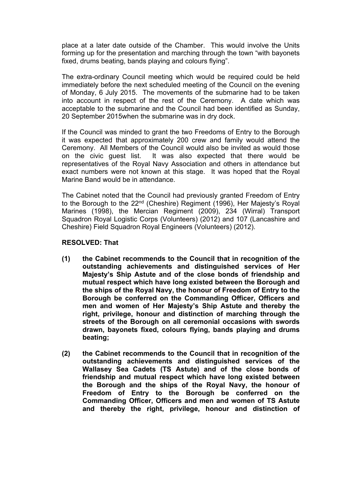place at a later date outside of the Chamber. This would involve the Units forming up for the presentation and marching through the town "with bayonets fixed, drums beating, bands playing and colours flying".

The extra-ordinary Council meeting which would be required could be held immediately before the next scheduled meeting of the Council on the evening of Monday, 6 July 2015. The movements of the submarine had to be taken into account in respect of the rest of the Ceremony. A date which was acceptable to the submarine and the Council had been identified as Sunday, 20 September 2015when the submarine was in dry dock.

If the Council was minded to grant the two Freedoms of Entry to the Borough it was expected that approximately 200 crew and family would attend the Ceremony. All Members of the Council would also be invited as would those on the civic guest list. It was also expected that there would be representatives of the Royal Navy Association and others in attendance but exact numbers were not known at this stage. It was hoped that the Royal Marine Band would be in attendance.

The Cabinet noted that the Council had previously granted Freedom of Entry to the Borough to the 22nd (Cheshire) Regiment (1996), Her Majesty's Royal Marines (1998), the Mercian Regiment (2009), 234 (Wirral) Transport Squadron Royal Logistic Corps (Volunteers) (2012) and 107 (Lancashire and Cheshire) Field Squadron Royal Engineers (Volunteers) (2012).

#### **RESOLVED: That**

- **(1) the Cabinet recommends to the Council that in recognition of the outstanding achievements and distinguished services of Her Majesty's Ship Astute and of the close bonds of friendship and mutual respect which have long existed between the Borough and the ships of the Royal Navy, the honour of Freedom of Entry to the Borough be conferred on the Commanding Officer, Officers and men and women of Her Majesty's Ship Astute and thereby the right, privilege, honour and distinction of marching through the streets of the Borough on all ceremonial occasions with swords drawn, bayonets fixed, colours flying, bands playing and drums beating;**
- **(2) the Cabinet recommends to the Council that in recognition of the outstanding achievements and distinguished services of the Wallasey Sea Cadets (TS Astute) and of the close bonds of friendship and mutual respect which have long existed between the Borough and the ships of the Royal Navy, the honour of Freedom of Entry to the Borough be conferred on the Commanding Officer, Officers and men and women of TS Astute and thereby the right, privilege, honour and distinction of**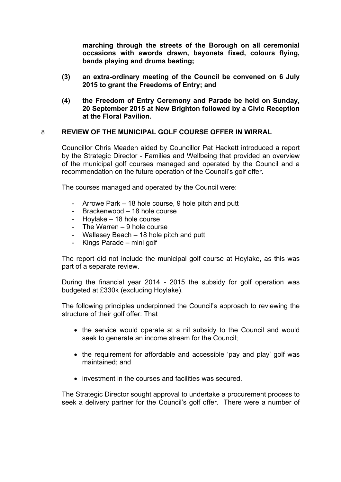**marching through the streets of the Borough on all ceremonial occasions with swords drawn, bayonets fixed, colours flying, bands playing and drums beating;**

- **(3) an extra-ordinary meeting of the Council be convened on 6 July 2015 to grant the Freedoms of Entry; and**
- **(4) the Freedom of Entry Ceremony and Parade be held on Sunday, 20 September 2015 at New Brighton followed by a Civic Reception at the Floral Pavilion.**

## 8 **REVIEW OF THE MUNICIPAL GOLF COURSE OFFER IN WIRRAL**

Councillor Chris Meaden aided by Councillor Pat Hackett introduced a report by the Strategic Director - Families and Wellbeing that provided an overview of the municipal golf courses managed and operated by the Council and a recommendation on the future operation of the Council's golf offer.

The courses managed and operated by the Council were:

- Arrowe Park 18 hole course, 9 hole pitch and putt
- Brackenwood 18 hole course
- Hoylake 18 hole course
- The Warren 9 hole course
- Wallasey Beach 18 hole pitch and putt
- Kings Parade mini golf

The report did not include the municipal golf course at Hoylake, as this was part of a separate review.

During the financial year 2014 - 2015 the subsidy for golf operation was budgeted at £330k (excluding Hoylake).

The following principles underpinned the Council's approach to reviewing the structure of their golf offer: That

- the service would operate at a nil subsidy to the Council and would seek to generate an income stream for the Council;
- the requirement for affordable and accessible 'pay and play' golf was maintained; and
- investment in the courses and facilities was secured.

The Strategic Director sought approval to undertake a procurement process to seek a delivery partner for the Council's golf offer. There were a number of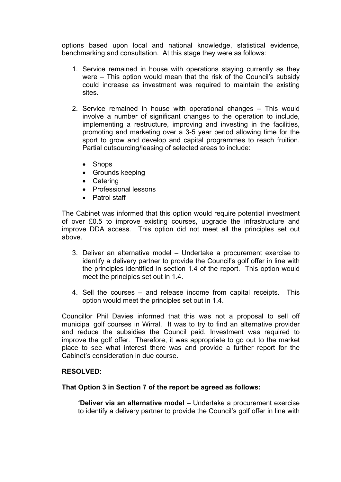options based upon local and national knowledge, statistical evidence, benchmarking and consultation. At this stage they were as follows:

- 1. Service remained in house with operations staying currently as they were – This option would mean that the risk of the Council's subsidy could increase as investment was required to maintain the existing sites.
- 2. Service remained in house with operational changes This would involve a number of significant changes to the operation to include, implementing a restructure, improving and investing in the facilities, promoting and marketing over a 3-5 year period allowing time for the sport to grow and develop and capital programmes to reach fruition. Partial outsourcing/leasing of selected areas to include:
	- Shops
	- Grounds keeping
	- Catering
	- Professional lessons
	- Patrol staff

The Cabinet was informed that this option would require potential investment of over £0.5 to improve existing courses, upgrade the infrastructure and improve DDA access. This option did not meet all the principles set out above.

- 3. Deliver an alternative model Undertake a procurement exercise to identify a delivery partner to provide the Council's golf offer in line with the principles identified in section 1.4 of the report. This option would meet the principles set out in 1.4.
- 4. Sell the courses and release income from capital receipts. This option would meet the principles set out in 1.4.

Councillor Phil Davies informed that this was not a proposal to sell off municipal golf courses in Wirral. It was to try to find an alternative provider and reduce the subsidies the Council paid. Investment was required to improve the golf offer. Therefore, it was appropriate to go out to the market place to see what interest there was and provide a further report for the Cabinet's consideration in due course.

## **RESOLVED:**

#### **That Option 3 in Section 7 of the report be agreed as follows:**

**'Deliver via an alternative model** – Undertake a procurement exercise to identify a delivery partner to provide the Council's golf offer in line with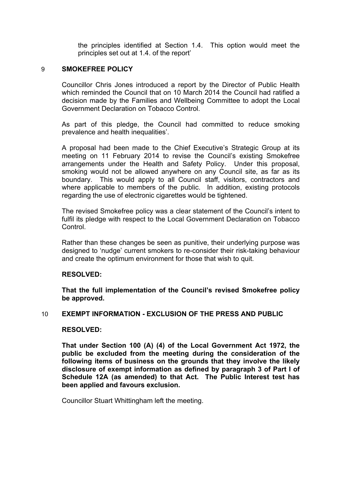the principles identified at Section 1.4. This option would meet the principles set out at 1.4. of the report'

## 9 **SMOKEFREE POLICY**

Councillor Chris Jones introduced a report by the Director of Public Health which reminded the Council that on 10 March 2014 the Council had ratified a decision made by the Families and Wellbeing Committee to adopt the Local Government Declaration on Tobacco Control.

As part of this pledge, the Council had committed to reduce smoking prevalence and health inequalities'.

A proposal had been made to the Chief Executive's Strategic Group at its meeting on 11 February 2014 to revise the Council's existing Smokefree arrangements under the Health and Safety Policy. Under this proposal, smoking would not be allowed anywhere on any Council site, as far as its boundary. This would apply to all Council staff, visitors, contractors and where applicable to members of the public. In addition, existing protocols regarding the use of electronic cigarettes would be tightened.

The revised Smokefree policy was a clear statement of the Council's intent to fulfil its pledge with respect to the Local Government Declaration on Tobacco **Control** 

Rather than these changes be seen as punitive, their underlying purpose was designed to 'nudge' current smokers to re-consider their risk-taking behaviour and create the optimum environment for those that wish to quit.

#### **RESOLVED:**

**That the full implementation of the Council's revised Smokefree policy be approved.** 

#### 10 **EXEMPT INFORMATION - EXCLUSION OF THE PRESS AND PUBLIC**

#### **RESOLVED:**

**That under Section 100 (A) (4) of the Local Government Act 1972, the public be excluded from the meeting during the consideration of the following items of business on the grounds that they involve the likely disclosure of exempt information as defined by paragraph 3 of Part I of Schedule 12A (as amended) to that Act. The Public Interest test has been applied and favours exclusion.**

Councillor Stuart Whittingham left the meeting.